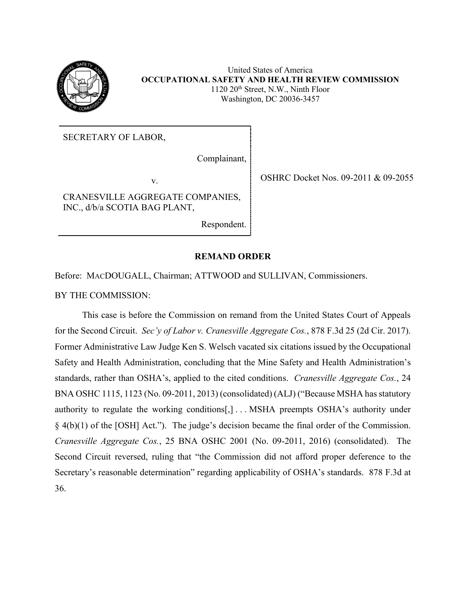

United States of America **OCCUPATIONAL SAFETY AND HEALTH REVIEW COMMISSION** 1120 20th Street, N.W., Ninth Floor Washington, DC 20036-3457

SECRETARY OF LABOR,

Complainant,

CRANESVILLE AGGREGATE COMPANIES, INC., d/b/a SCOTIA BAG PLANT,

Respondent.

v. SHRC Docket Nos. 09-2011 & 09-2055

## **REMAND ORDER**

Before: MACDOUGALL, Chairman; ATTWOOD and SULLIVAN, Commissioners.

BY THE COMMISSION:

This case is before the Commission on remand from the United States Court of Appeals for the Second Circuit. *Sec'y of Labor v. Cranesville Aggregate Cos.*, 878 F.3d 25 (2d Cir. 2017). Former Administrative Law Judge Ken S. Welsch vacated six citations issued by the Occupational Safety and Health Administration, concluding that the Mine Safety and Health Administration's standards, rather than OSHA's, applied to the cited conditions. *Cranesville Aggregate Cos.*, 24 BNA OSHC 1115, 1123 (No. 09-2011, 2013) (consolidated) (ALJ) ("Because MSHA has statutory authority to regulate the working conditions[,] . . . MSHA preempts OSHA's authority under § 4(b)(1) of the [OSH] Act."). The judge's decision became the final order of the Commission. *Cranesville Aggregate Cos.*, 25 BNA OSHC 2001 (No. 09-2011, 2016) (consolidated). The Second Circuit reversed, ruling that "the Commission did not afford proper deference to the Secretary's reasonable determination" regarding applicability of OSHA's standards. 878 F.3d at 36.